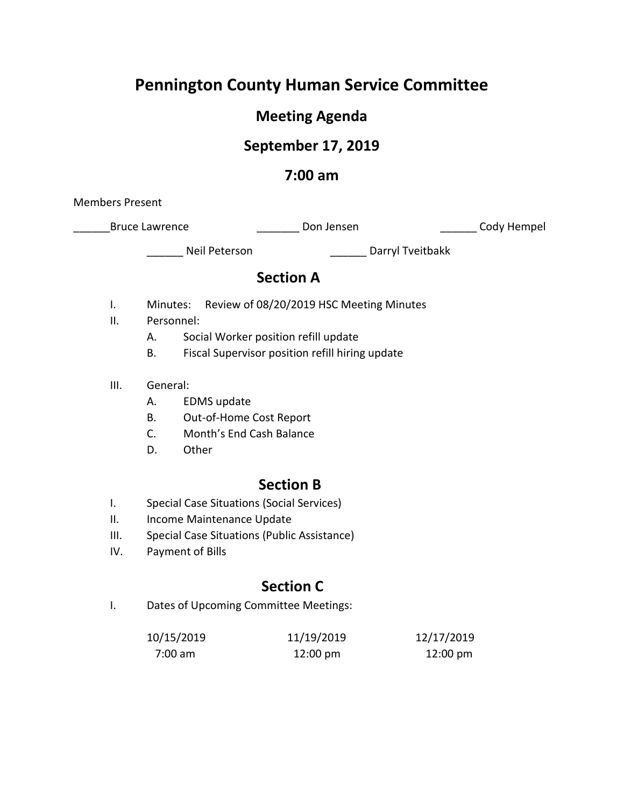# **Pennington County Human Service Committee**

# **Meeting Agenda**

# **September 17, 2019**

## **7:00 am**

Members Present

\_Bruce Lawrence \_\_\_\_\_\_\_\_\_\_\_\_\_\_\_\_\_\_\_\_\_\_Don Jensen \_\_\_\_\_\_\_\_\_\_\_\_\_\_\_\_\_\_\_\_\_\_Cody Hempel

\_\_\_\_\_\_ Neil Peterson \_\_\_\_\_\_ Darryl Tveitbakk

# **Section A**

- I. Minutes: Review of 08/20/2019 HSC Meeting Minutes
- II. Personnel:
	- A. Social Worker position refill update
	- B. Fiscal Supervisor position refill hiring update
- III. General:
	- A. EDMS update
	- B. Out-of-Home Cost Report
	- C. Month's End Cash Balance
	- D. Other

## **Section B**

- I. Special Case Situations (Social Services)
- II. Income Maintenance Update
- III. Special Case Situations (Public Assistance)
- IV. Payment of Bills

# **Section C**

I. Dates of Upcoming Committee Meetings:

| 10/15/2019 | 11/19/2019         | 12/17/2019         |
|------------|--------------------|--------------------|
| 7:00 am    | $12:00 \text{ pm}$ | $12:00 \text{ pm}$ |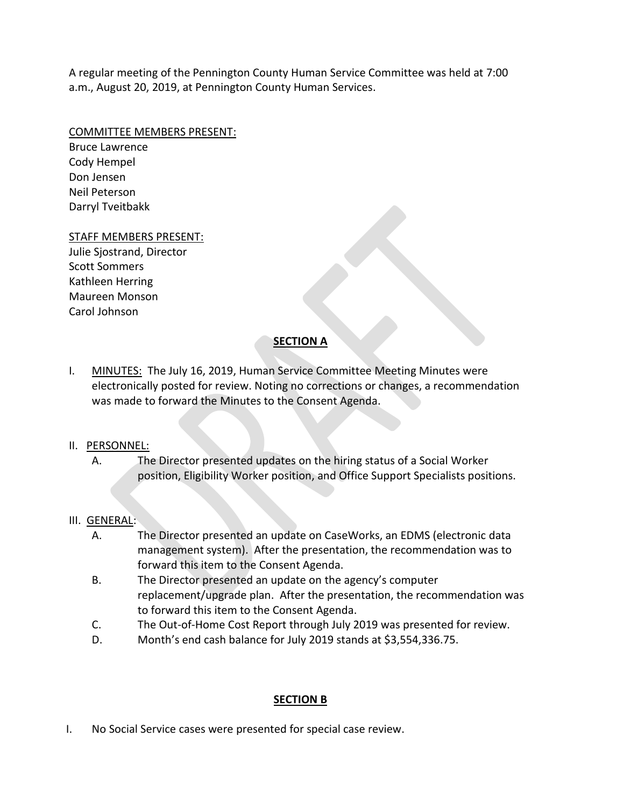A regular meeting of the Pennington County Human Service Committee was held at 7:00 a.m., August 20, 2019, at Pennington County Human Services.

#### COMMITTEE MEMBERS PRESENT:

Bruce Lawrence Cody Hempel Don Jensen Neil Peterson Darryl Tveitbakk

#### STAFF MEMBERS PRESENT:

Julie Sjostrand, Director Scott Sommers Kathleen Herring Maureen Monson Carol Johnson

## **SECTION A**

I. MINUTES: The July 16, 2019, Human Service Committee Meeting Minutes were electronically posted for review. Noting no corrections or changes, a recommendation was made to forward the Minutes to the Consent Agenda.

### II. PERSONNEL:

A. The Director presented updates on the hiring status of a Social Worker position, Eligibility Worker position, and Office Support Specialists positions.

### III. GENERAL:

- A. The Director presented an update on CaseWorks, an EDMS (electronic data management system). After the presentation, the recommendation was to forward this item to the Consent Agenda.
- B. The Director presented an update on the agency's computer replacement/upgrade plan. After the presentation, the recommendation was to forward this item to the Consent Agenda.
- C. The Out-of-Home Cost Report through July 2019 was presented for review.
- D. Month's end cash balance for July 2019 stands at \$3,554,336.75.

### **SECTION B**

I. No Social Service cases were presented for special case review.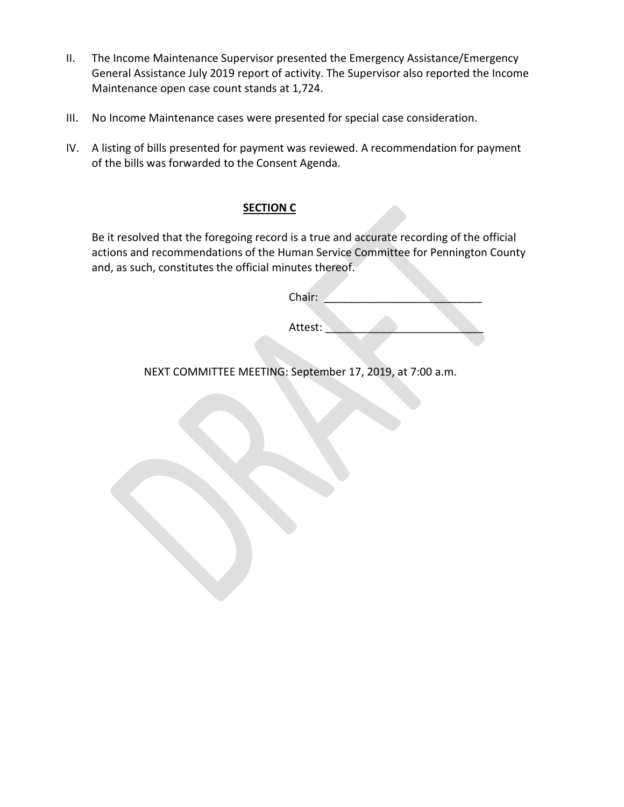- II. The Income Maintenance Supervisor presented the Emergency Assistance/Emergency General Assistance July 2019 report of activity. The Supervisor also reported the Income Maintenance open case count stands at 1,724.
- III. No Income Maintenance cases were presented for special case consideration.
- IV. A listing of bills presented for payment was reviewed. A recommendation for payment of the bills was forwarded to the Consent Agenda.

### **SECTION C**

Be it resolved that the foregoing record is a true and accurate recording of the official actions and recommendations of the Human Service Committee for Pennington County and, as such, constitutes the official minutes thereof.

| Chair:  |  |  |  |  |  |
|---------|--|--|--|--|--|
| Attest: |  |  |  |  |  |
|         |  |  |  |  |  |

NEXT COMMITTEE MEETING: September 17, 2019, at 7:00 a.m.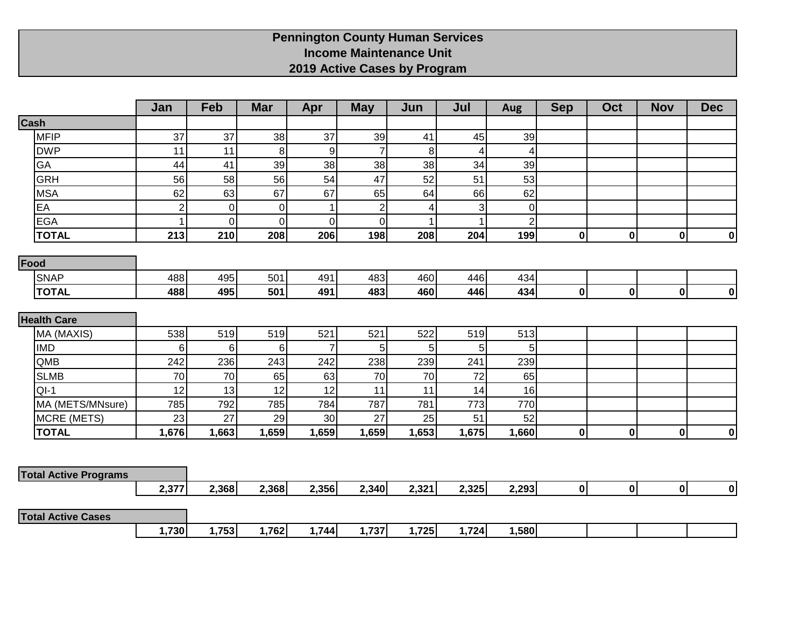## **Pennington County Human Services Income Maintenance Unit 2019 Active Cases by Program**

|                              | Jan            | Feb   | <b>Mar</b>  | Apr              | <b>May</b>     | Jun   | Jul            | <b>Aug</b>     | <b>Sep</b>   | Oct          | <b>Nov</b> | <b>Dec</b> |
|------------------------------|----------------|-------|-------------|------------------|----------------|-------|----------------|----------------|--------------|--------------|------------|------------|
| Cash                         |                |       |             |                  |                |       |                |                |              |              |            |            |
| <b>MFIP</b>                  | 37             | 37    | 38          | 37               | 39             | 41    | 45             | 39             |              |              |            |            |
| <b>DWP</b>                   | 11             | 11    | 8           | $\boldsymbol{9}$ | $\overline{7}$ | 8     | 4              | $\overline{4}$ |              |              |            |            |
| GA                           | 44             | 41    | 39          | 38               | 38             | 38    | 34             | 39             |              |              |            |            |
| <b>GRH</b>                   | 56             | 58    | 56          | 54               | 47             | 52    | 51             | 53             |              |              |            |            |
| <b>MSA</b>                   | 62             | 63    | 67          | 67               | 65             | 64    | 66             | 62             |              |              |            |            |
| EA                           | $\overline{2}$ | 0     | $\mathbf 0$ | 1                | $\overline{2}$ | 4     | $\overline{3}$ | $\overline{0}$ |              |              |            |            |
| <b>EGA</b>                   | 1              | 0     | $\mathbf 0$ | $\pmb{0}$        | $\overline{0}$ |       | $\mathbf{1}$   | $\overline{2}$ |              |              |            |            |
| <b>TOTAL</b>                 | 213            | 210   | 208         | 206              | 198            | 208   | 204            | 199            | $\mathbf 0$  | $\mathbf{0}$ | 0          | 0          |
| Food                         |                |       |             |                  |                |       |                |                |              |              |            |            |
| <b>SNAP</b>                  | 488            | 495   | 501         | 491              | 483            | 460   | 446            | 434            |              |              |            |            |
| <b>TOTAL</b>                 | 488            | 495   | 501         | 491              | 483            | 460   | 446            | 434            | $\mathbf 0$  | 0            | 0          | 0          |
|                              |                |       |             |                  |                |       |                |                |              |              |            |            |
| <b>Health Care</b>           |                |       |             |                  |                |       |                |                |              |              |            |            |
| MA (MAXIS)                   | 538            | 519   | 519         | 521              | 521            | 522   | 519            | 513            |              |              |            |            |
| <b>IMD</b>                   | 6              | 6     | 6           | $\overline{7}$   | 5              | 5     | 5 <sup>1</sup> | 5 <sup>1</sup> |              |              |            |            |
| QMB                          | 242            | 236   | 243         | 242              | 238            | 239   | 241            | 239            |              |              |            |            |
| <b>SLMB</b>                  | 70             | 70    | 65          | 63               | 70             | 70    | 72             | 65             |              |              |            |            |
| $QI-1$                       | 12             | 13    | 12          | 12               | 11             | 11    | 14             | 16             |              |              |            |            |
| MA (METS/MNsure)             | 785            | 792   | 785         | 784              | 787            | 781   | 773            | 770            |              |              |            |            |
| MCRE (METS)                  | 23             | 27    | 29          | 30               | 27             | 25    | 51             | 52             |              |              |            |            |
| <b>TOTAL</b>                 | 1,676          | 1,663 | 1,659       | 1,659            | 1,659          | 1,653 | 1,675          | 1,660          | $\mathbf 0$  | $\mathbf{0}$ | 0          | 0          |
|                              |                |       |             |                  |                |       |                |                |              |              |            |            |
| <b>Total Active Programs</b> |                |       |             |                  |                |       |                |                |              |              |            |            |
|                              | 2,377          | 2,368 | 2,368       | 2,356            | 2,340          | 2,321 | 2,325          | 2,293          | $\mathbf{0}$ | 0            | 0          | 0          |
|                              |                |       |             |                  |                |       |                |                |              |              |            |            |
| <b>Total Active Cases</b>    |                |       |             |                  |                |       |                |                |              |              |            |            |
|                              | 1,730          | 1,753 | 1,762       | 1,744            | 1,737          | 1,725 | 1,724          | 1,580          |              |              |            |            |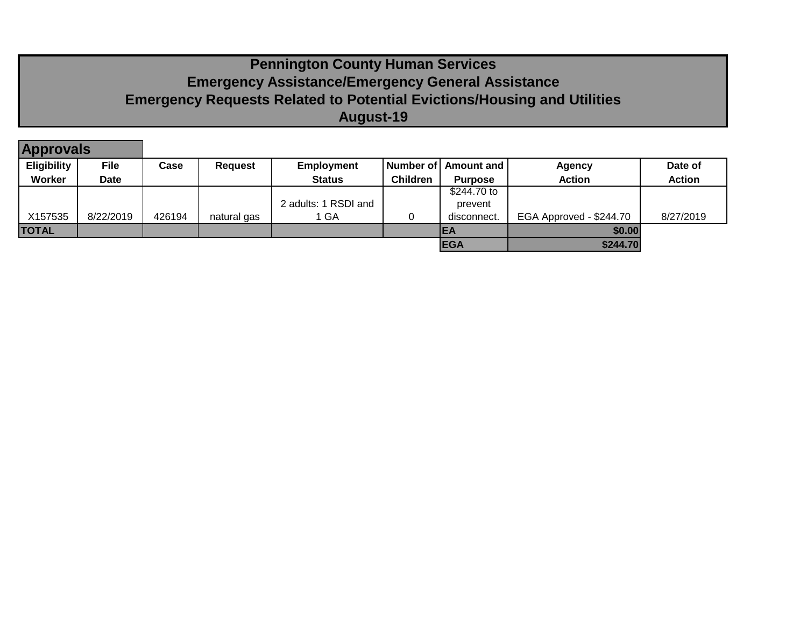# **Pennington County Human Services Emergency Assistance/Emergency General Assistance Emergency Requests Related to Potential Evictions/Housing and Utilities August-19**

| <b>Approvals</b>   |             |        |                |                      |                 |                |                         |               |
|--------------------|-------------|--------|----------------|----------------------|-----------------|----------------|-------------------------|---------------|
| <b>Eligibility</b> | <b>File</b> | Case   | <b>Request</b> | <b>Employment</b>    | Number of L     | Amount and I   | <b>Agency</b>           | Date of       |
| Worker             | <b>Date</b> |        |                | <b>Status</b>        | <b>Children</b> | <b>Purpose</b> | <b>Action</b>           | <b>Action</b> |
|                    |             |        |                |                      |                 | \$244.70 to    |                         |               |
|                    |             |        |                | 2 adults: 1 RSDI and |                 | prevent        |                         |               |
| X157535            | 8/22/2019   | 426194 | natural gas    | 1 GA                 |                 | disconnect.    | EGA Approved - \$244.70 | 8/27/2019     |
| <b>TOTAL</b>       |             |        |                |                      |                 | IEA            | \$0.00                  |               |
|                    |             |        |                |                      |                 | <b>EGA</b>     | \$244.70                |               |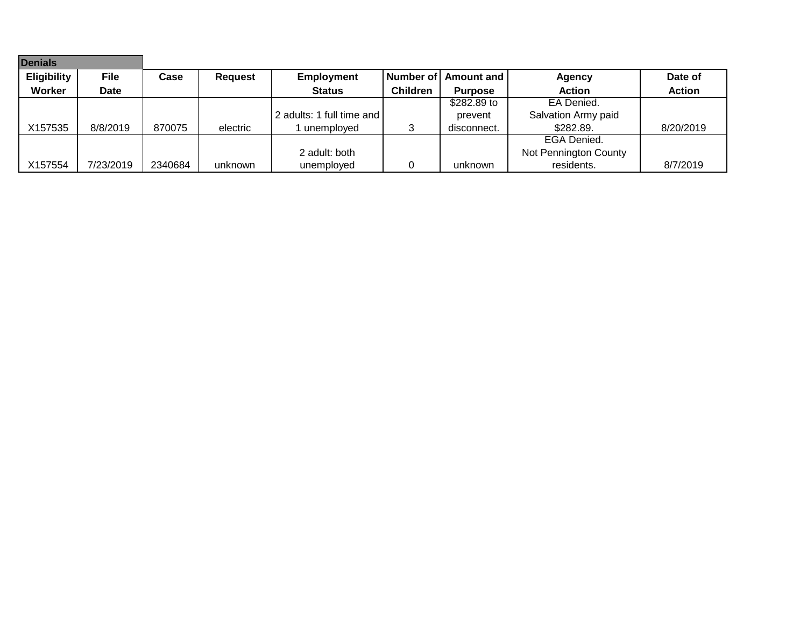| <b>Denials</b>     |             |         |                |                           |                 |                |                       |               |
|--------------------|-------------|---------|----------------|---------------------------|-----------------|----------------|-----------------------|---------------|
| <b>Eligibility</b> | <b>File</b> | Case    | <b>Request</b> | <b>Employment</b>         | Number of       | Amount and     | Agency                | Date of       |
| <b>Worker</b>      | <b>Date</b> |         |                | <b>Status</b>             | <b>Children</b> | <b>Purpose</b> | <b>Action</b>         | <b>Action</b> |
|                    |             |         |                |                           |                 | \$282.89 to    | EA Denied.            |               |
|                    |             |         |                | 2 adults: 1 full time and |                 | prevent        | Salvation Army paid   |               |
| X157535            | 8/8/2019    | 870075  | electric       | unemploved                |                 | disconnect.    | \$282.89.             | 8/20/2019     |
|                    |             |         |                |                           |                 |                | EGA Denied.           |               |
|                    |             |         |                | 2 adult: both             |                 |                | Not Pennington County |               |
| X157554            | 7/23/2019   | 2340684 | unknown        | unemployed                |                 | unknown        | residents.            | 8/7/2019      |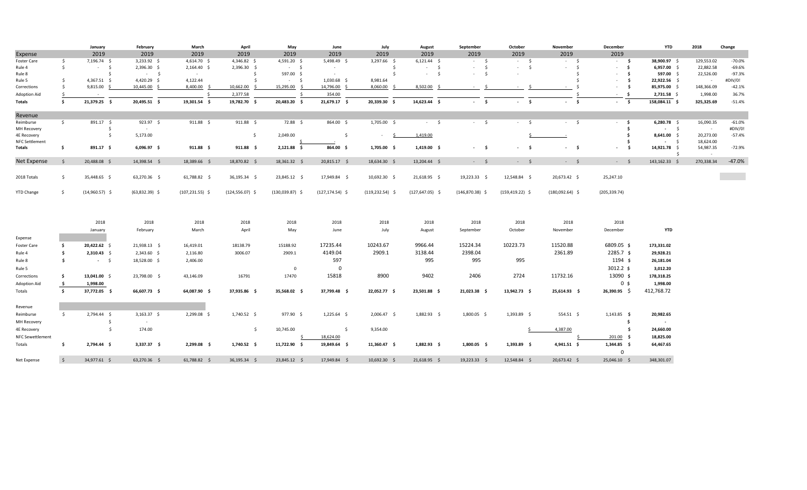|                         |                     | January          | February         | March              | April               | May               | June                | July               | August                     | September         | October            | November          | December                  | <b>YTD</b>          | 2018       | Change   |
|-------------------------|---------------------|------------------|------------------|--------------------|---------------------|-------------------|---------------------|--------------------|----------------------------|-------------------|--------------------|-------------------|---------------------------|---------------------|------------|----------|
| Expense                 |                     | 2019             | 2019             | 2019               | 2019                | 2019              | 2019                | 2019               | 2019                       | 2019              | 2019               | 2019              | 2019                      |                     |            |          |
| Foster Care             | \$                  | 7,196.74 \$      | 3,233.92 \$      | 4,614.70 \$        | 4,346.82 \$         | 4,591.20 \$       | 5,498.49 \$         | 3,297.66 \$        | $6,121.44$ \$              | $-5$              | $-5$               | $-5$              | $-5$                      | 38,900.97 \$        | 129,553.02 | $-70.0%$ |
| Rule 4                  | $\mathsf{S}$        | $-5$             | 2,396.30 \$      | $2,164.40$ \$      | 2,396.30 \$         | $-5$              | $\sim$              | -\$                | $\mathsf{S}$<br>$\sim 100$ | $-5$              | \$<br>$\sim$ $-$   | - Ś<br>$\sim$     | - \$<br>$\sim$            | 6,957.00 \$         | 22,882.58  | $-69.6%$ |
| Rule 8                  |                     | Ŝ.               | $-5$             | $\sim$             | -Ś                  | 597.00 \$         | $\sim$              | $\mathsf{S}$       | $-5$                       | $-5$              | $\sim$             |                   | - \$<br>$\sim$            | 597.00 \$           | 22,526.00  | $-97.3%$ |
| Rule 5                  | Ŝ.                  | $4,367.51$ \$    | 4,420.29 \$      | 4,122.44           |                     | $-5$              | 1,030.68 \$         | 8,981.64           |                            |                   |                    |                   | \$<br>$\sim$              | 22,922.56 \$        | $\sim$     | #DIV/0!  |
| Corrections             | s.                  | $9,815.00$ \$    | 10,445.00 \$     | 8,400.00 \$        | 10,662.00           | 15,295.00         | 14,796.00 \$        | 8,060.00           | 8,502.00                   | - \$<br>$\sim$    | - S<br>$\sim$      | $\sim$            | \$<br>$\sim$              | 85,975.00 \$        | 148,366.09 | $-42.1%$ |
| Adoption Aid            | - S                 | $\sim$ $-$       |                  | -Ś                 | 2,377.58            | -Ś                | 354.00              |                    |                            |                   |                    |                   | - \$<br>$\sim$            | $2,731.58$ \$       | 1,998.00   | 36.7%    |
| <b>Totals</b>           | -\$                 | 21,379.25 \$     | 20,495.51 \$     | 19,301.54 \$       | 19,782.70 \$        | 20,483.20 \$      | 21,679.17 \$        | 20,339.30 \$       | 14,623.44 \$               | - \$              | $-5$               | $-5$              | $-5$                      | 158,084.11 \$       | 325,325.69 | $-51.4%$ |
| Revenue                 |                     |                  |                  |                    |                     |                   |                     |                    |                            |                   |                    |                   |                           |                     |            |          |
| Reimburse               | $\frac{1}{2}$       | 891.17 \$        | 923.97 \$        | $911.88 \quad $$   | $911.88 \quad $$    | 72.88 \$          | 864.00 \$           | 1,705.00 \$        | $-5$                       | $-5$              | $-5$               | $-5$              | - \$<br>$\sim$            | $6,280.78$ \$       | 16,090.35  | $-61.0%$ |
| MH Recovery             |                     | \$               | $\sim$           |                    |                     |                   |                     |                    |                            |                   |                    |                   | Ś.                        | $-5$                | $\sim$     | #DIV/0!  |
| 4E Recovery             |                     | \$               | 5,173.00         |                    | $\mathsf{S}$        | 2,049.00          | $\mathsf{S}$        | $\sim$<br>S.       | 1,419.00                   |                   |                    |                   | \$                        | 8,641.00 \$         | 20,273.00  | $-57.4%$ |
| <b>NFC Settlement</b>   |                     |                  |                  |                    |                     |                   |                     |                    |                            |                   |                    |                   | Ŝ.                        | $-5$                | 18,624.00  |          |
| Totals                  | -\$                 | 891.17 \$        | $6,096.97$ \$    | $911.88$ \$        | $911.88$ \$         | 2,121.88 \$       | $864.00\frac{1}{2}$ | 1,705.00 \$        | $1,419.00$ \$              | $-5$              | - \$<br>$\sim$     | - Ś<br>$\sim 100$ | - Ś<br>$\sim$             | 14,921.78 \$<br>- Ś | 54,987.35  | $-72.9%$ |
| Net Expense             | - Ś                 | 20,488.08 \$     | 14,398.54 \$     | 18,389.66 \$       | 18,870.82 \$        | 18,361.32 \$      | 20,815.17 \$        | 18,634.30 \$       | 13,204.44 \$               | $-5$              | $-5$               | $-5$              | $-5$                      | 143,162.33 \$       | 270,338.34 | $-47.0%$ |
|                         |                     |                  |                  |                    |                     |                   |                     |                    |                            |                   |                    |                   |                           |                     |            |          |
| 2018 Totals             | \$                  | 35,448.65 \$     | 63,270.36 \$     | 61,788.82 \$       | 36,195.34 \$        | 23,845.12 \$      | 17,949.84 \$        | 10,692.30 \$       | 21,618.95 \$               | 19,223.33 \$      | 12,548.84 \$       | 20,673.42 \$      | 25,247.10                 |                     |            |          |
| <b>YTD Change</b>       | - Ś                 | $(14,960.57)$ \$ | $(63,832.39)$ \$ | $(107, 231.55)$ \$ | $(124, 556.07)$ \$  | $(130,039.87)$ \$ | $(127, 174.54)$ \$  | $(119, 232.54)$ \$ | $(127, 647.05)$ \$         | $(146,870.38)$ \$ | $(159, 419.22)$ \$ | $(180,092.64)$ \$ | (205, 339.74)             |                     |            |          |
|                         |                     |                  |                  |                    |                     |                   |                     |                    |                            |                   |                    |                   |                           |                     |            |          |
|                         |                     | 2018             | 2018             | 2018               | 2018                | 2018              | 2018                | 2018               | 2018                       | 2018              | 2018               | 2018              | 2018                      |                     |            |          |
|                         |                     | January          | February         | March              | April               | May               | June                | July               | August                     | September         | October            | November          | December                  | YTD                 |            |          |
| Expense                 |                     |                  |                  |                    |                     |                   |                     |                    |                            |                   |                    |                   |                           |                     |            |          |
| <b>Foster Care</b>      | - \$                | 20,422.62 \$     | 21,938.13 \$     | 16,419.01          | 18138.79            | 15188.92          | 17235.44            | 10243.67           | 9966.44                    | 15224.34          | 10223.73           | 11520.88          | 6809.05 \$                | 173,331.02          |            |          |
| Rule 4                  | −\$                 | $2,310.43$ \$    | $2,343.60$ \$    | 2,116.80           | 3006.07             | 2909.1            | 4149.04             | 2909.1             | 3138.44                    | 2398.04           |                    | 2361.89           | $2285.7$ \$               | 29,928.21           |            |          |
|                         | Ŝ.                  | $-5$             | 18,528.00 \$     | 2,406.00           |                     |                   | 597                 |                    | 995                        | 995               | 995                |                   | 1194 \$                   | 26,181.04           |            |          |
| Rule 8                  |                     |                  |                  |                    |                     |                   |                     |                    |                            |                   |                    |                   |                           |                     |            |          |
| Rule 5                  |                     |                  |                  |                    |                     | $\overline{0}$    | $\mathbf 0$         |                    |                            |                   |                    |                   | $3012.2$ \$               | 3,012.20            |            |          |
| Corrections             | - \$                | 13,041.00 \$     | 23,798.00 \$     | 43,146.09          | 16791               | 17470             | 15818               | 8900               | 9402                       | 2406              | 2724               | 11732.16          | 13090 \$                  | 178,318.25          |            |          |
| <b>Adoption Aid</b>     | <u>ې</u>            | 1,998.00         |                  |                    |                     |                   |                     |                    |                            |                   |                    |                   | 0 <sub>s</sub>            | 1,998.00            |            |          |
| Totals                  | \$                  | 37,772.05 \$     | 66,607.73 \$     | 64,087.90 \$       | 37,935.86 \$        | 35,568.02 \$      | 37,799.48 \$        | 22,052.77 \$       | 23,501.88 \$               | 21,023.38 \$      | 13,942.73 \$       | 25,614.93 \$      | $26,390.95$ \$            | 412,768.72          |            |          |
| Revenue                 |                     |                  |                  |                    |                     |                   |                     |                    |                            |                   |                    |                   |                           |                     |            |          |
| Reimburse               | $\ddot{\mathsf{s}}$ | 2,794.44 \$      | $3,163.37$ \$    | 2,299.08 \$        | 1,740.52 \$         | 977.90 \$         | $1,225.64$ \$       | $2,006.47$ \$      | 1,882.93 \$                | 1,800.05 \$       | 1,393.89 \$        | 554.51 \$         | $1,143.85$ \$             | 20,982.65           |            |          |
| MH Recovery             |                     | -\$              | $\sim$           |                    |                     |                   |                     |                    |                            |                   |                    |                   | \$                        | $\sim$ 100 $\pm$    |            |          |
| 4E Recovery             |                     | $\frac{1}{2}$    | 174.00           |                    | $\ddot{\mathsf{S}}$ | 10,745.00         | $\mathsf{S}$        | 9,354.00           |                            |                   |                    | 4,387.00          | \$                        | 24,660.00           |            |          |
|                         |                     |                  |                  |                    |                     |                   |                     |                    |                            |                   |                    |                   |                           |                     |            |          |
| <b>NFC Sewettlement</b> |                     |                  |                  |                    |                     |                   | 18,624.00           |                    |                            |                   |                    |                   | $201.00$ \$               | 18,825.00           |            |          |
| Totals                  | - Ś                 | 2,794.44 \$      | $3,337.37$ \$    | $2,299.08$ \$      | $1,740.52 \quad$ \$ | 11,722.90 \$      | 19,849.64 \$        | $11,360.47$ \$     | $1,882.93$ \$              | $1,800.05$ \$     | $1,393.89$ \$      | $4,941.51$ \$     | $1,344.85$ \$<br>$\Omega$ | 64,467.65           |            |          |
| Net Expense             | $\prec$             | 34,977.61 \$     | 63,270.36 \$     | 61,788.82 \$       | 36,195.34 \$        | 23,845.12 \$      | 17,949.84 \$        | 10,692.30 \$       | 21,618.95 \$               | 19,223.33 \$      | 12,548.84 \$       | 20,673.42 \$      | 25,046.10 \$              | 348,301.07          |            |          |